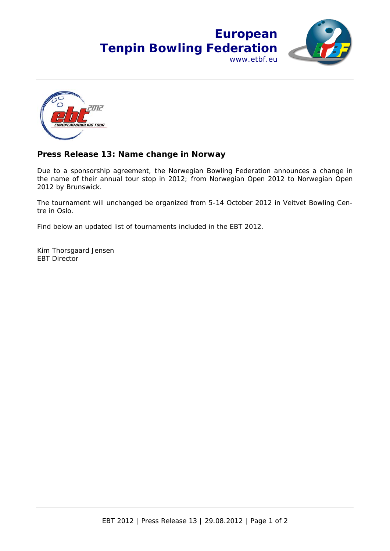



## **Press Release 13: Name change in Norway**

Due to a sponsorship agreement, the Norwegian Bowling Federation announces a change in the name of their annual tour stop in 2012; from Norwegian Open 2012 to Norwegian Open 2012 by Brunswick.

The tournament will unchanged be organized from 5-14 October 2012 in Veitvet Bowling Centre in Oslo.

Find below an updated list of tournaments included in the EBT 2012.

Kim Thorsgaard Jensen EBT Director